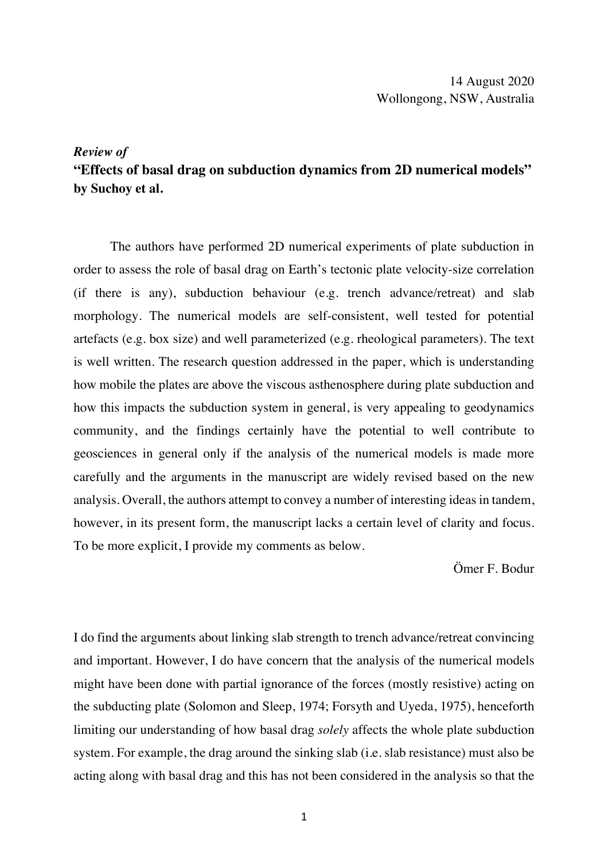14 August 2020 Wollongong, NSW, Australia

## *Review of*

## **"Effects of basal drag on subduction dynamics from 2D numerical models" by Suchoy et al.**

The authors have performed 2D numerical experiments of plate subduction in order to assess the role of basal drag on Earth's tectonic plate velocity-size correlation (if there is any), subduction behaviour (e.g. trench advance/retreat) and slab morphology. The numerical models are self-consistent, well tested for potential artefacts (e.g. box size) and well parameterized (e.g. rheological parameters). The text is well written. The research question addressed in the paper, which is understanding how mobile the plates are above the viscous asthenosphere during plate subduction and how this impacts the subduction system in general, is very appealing to geodynamics community, and the findings certainly have the potential to well contribute to geosciences in general only if the analysis of the numerical models is made more carefully and the arguments in the manuscript are widely revised based on the new analysis. Overall, the authors attempt to convey a number of interesting ideas in tandem, however, in its present form, the manuscript lacks a certain level of clarity and focus. To be more explicit, I provide my comments as below.

Ömer F. Bodur

I do find the arguments about linking slab strength to trench advance/retreat convincing and important. However, I do have concern that the analysis of the numerical models might have been done with partial ignorance of the forces (mostly resistive) acting on the subducting plate (Solomon and Sleep, 1974; Forsyth and Uyeda, 1975), henceforth limiting our understanding of how basal drag *solely* affects the whole plate subduction system. For example, the drag around the sinking slab (i.e. slab resistance) must also be acting along with basal drag and this has not been considered in the analysis so that the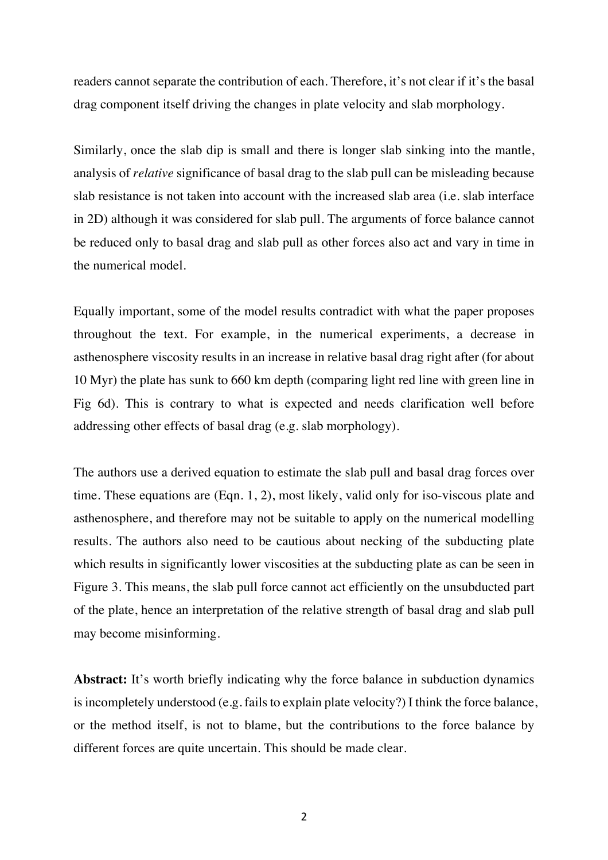readers cannot separate the contribution of each. Therefore, it's not clear if it's the basal drag component itself driving the changes in plate velocity and slab morphology.

Similarly, once the slab dip is small and there is longer slab sinking into the mantle, analysis of *relative* significance of basal drag to the slab pull can be misleading because slab resistance is not taken into account with the increased slab area (i.e. slab interface in 2D) although it was considered for slab pull. The arguments of force balance cannot be reduced only to basal drag and slab pull as other forces also act and vary in time in the numerical model.

Equally important, some of the model results contradict with what the paper proposes throughout the text. For example, in the numerical experiments, a decrease in asthenosphere viscosity results in an increase in relative basal drag right after (for about 10 Myr) the plate has sunk to 660 km depth (comparing light red line with green line in Fig 6d). This is contrary to what is expected and needs clarification well before addressing other effects of basal drag (e.g. slab morphology).

The authors use a derived equation to estimate the slab pull and basal drag forces over time. These equations are (Eqn. 1, 2), most likely, valid only for iso-viscous plate and asthenosphere, and therefore may not be suitable to apply on the numerical modelling results. The authors also need to be cautious about necking of the subducting plate which results in significantly lower viscosities at the subducting plate as can be seen in Figure 3. This means, the slab pull force cannot act efficiently on the unsubducted part of the plate, hence an interpretation of the relative strength of basal drag and slab pull may become misinforming.

Abstract: It's worth briefly indicating why the force balance in subduction dynamics is incompletely understood (e.g. fails to explain plate velocity?) I think the force balance, or the method itself, is not to blame, but the contributions to the force balance by different forces are quite uncertain. This should be made clear.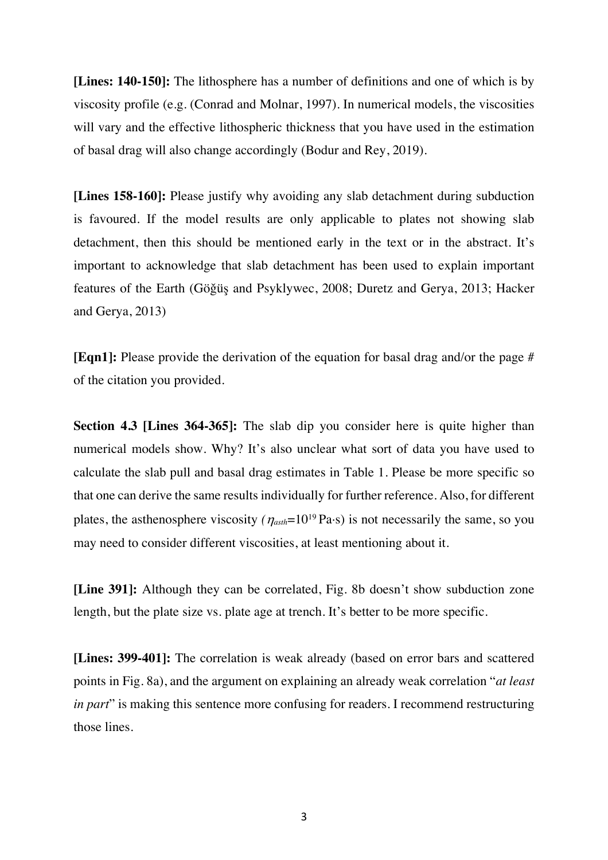**[Lines: 140-150]:** The lithosphere has a number of definitions and one of which is by viscosity profile (e.g. (Conrad and Molnar, 1997). In numerical models, the viscosities will vary and the effective lithospheric thickness that you have used in the estimation of basal drag will also change accordingly (Bodur and Rey, 2019).

**[Lines 158-160]:** Please justify why avoiding any slab detachment during subduction is favoured. If the model results are only applicable to plates not showing slab detachment, then this should be mentioned early in the text or in the abstract. It's important to acknowledge that slab detachment has been used to explain important features of the Earth (Göǧüş and Psyklywec, 2008; Duretz and Gerya, 2013; Hacker and Gerya, 2013)

**[Eqn1]:** Please provide the derivation of the equation for basal drag and/or the page # of the citation you provided.

**Section 4.3 [Lines 364-365]:** The slab dip you consider here is quite higher than numerical models show. Why? It's also unclear what sort of data you have used to calculate the slab pull and basal drag estimates in Table 1. Please be more specific so that one can derive the same results individually for further reference. Also, for different plates, the asthenosphere viscosity  $(\eta_{\text{asth}}=10^{19} \text{ Pa} \cdot \text{s})$  is not necessarily the same, so you may need to consider different viscosities, at least mentioning about it.

**[Line 391]:** Although they can be correlated, Fig. 8b doesn't show subduction zone length, but the plate size vs. plate age at trench. It's better to be more specific.

**[Lines: 399-401]:** The correlation is weak already (based on error bars and scattered points in Fig. 8a), and the argument on explaining an already weak correlation "*at least in part*" is making this sentence more confusing for readers. I recommend restructuring those lines.